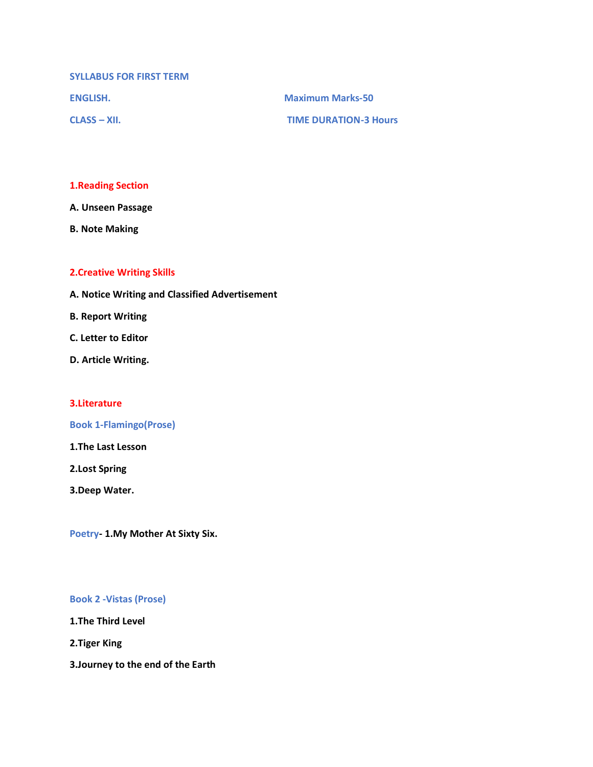**SYLLABUS FOR FIRST TERM**

**ENGLISH. Maximum Marks-50**

**CLASS – XII. TIME DURATION-3 Hours**

#### **1.Reading Section**

**A. Unseen Passage**

**B. Note Making**

### **2.Creative Writing Skills**

- **A. Notice Writing and Classified Advertisement**
- **B. Report Writing**
- **C. Letter to Editor**
- **D. Article Writing.**

#### **3.Literature**

#### **Book 1-Flamingo(Prose)**

**1.The Last Lesson**

**2.Lost Spring**

**3.Deep Water.**

**Poetry- 1.My Mother At Sixty Six.**

#### **Book 2 -Vistas (Prose)**

**1.The Third Level**

**2.Tiger King**

**3.Journey to the end of the Earth**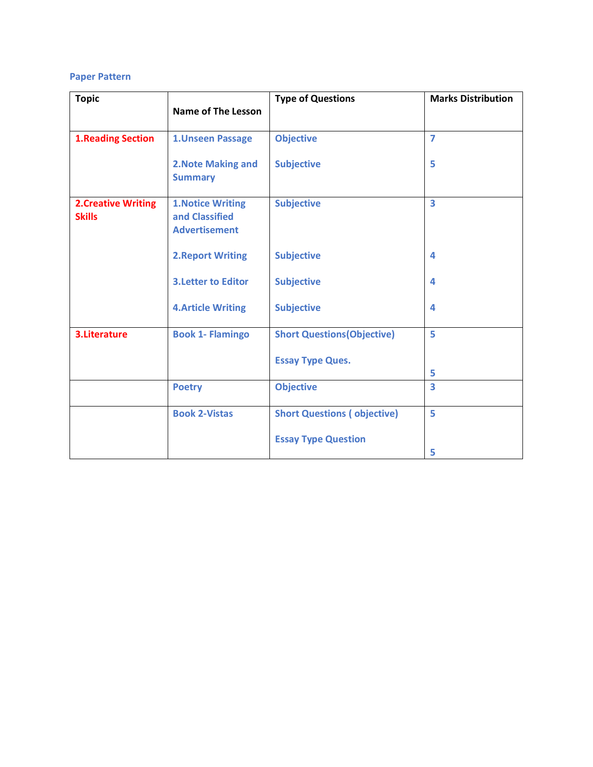### **Paper Pattern**

| <b>Topic</b>                               |                                                                    | <b>Type of Questions</b>           | <b>Marks Distribution</b> |
|--------------------------------------------|--------------------------------------------------------------------|------------------------------------|---------------------------|
|                                            | <b>Name of The Lesson</b>                                          |                                    |                           |
| <b>1.Reading Section</b>                   | 1. Unseen Passage                                                  | <b>Objective</b>                   | $\overline{7}$            |
|                                            | 2. Note Making and<br><b>Summary</b>                               | <b>Subjective</b>                  | 5                         |
| <b>2.Creative Writing</b><br><b>Skills</b> | <b>1. Notice Writing</b><br>and Classified<br><b>Advertisement</b> | <b>Subjective</b>                  | $\overline{\mathbf{3}}$   |
|                                            | <b>2. Report Writing</b>                                           | <b>Subjective</b>                  | 4                         |
|                                            | <b>3. Letter to Editor</b>                                         | <b>Subjective</b>                  | 4                         |
|                                            | <b>4.Article Writing</b>                                           | <b>Subjective</b>                  | 4                         |
| 3. Literature                              | <b>Book 1- Flamingo</b>                                            | <b>Short Questions (Objective)</b> | 5                         |
|                                            |                                                                    | <b>Essay Type Ques.</b>            | 5                         |
|                                            | <b>Poetry</b>                                                      | <b>Objective</b>                   | $\overline{\mathbf{3}}$   |
|                                            | <b>Book 2-Vistas</b>                                               | <b>Short Questions (objective)</b> | 5                         |
|                                            |                                                                    | <b>Essay Type Question</b>         | 5                         |